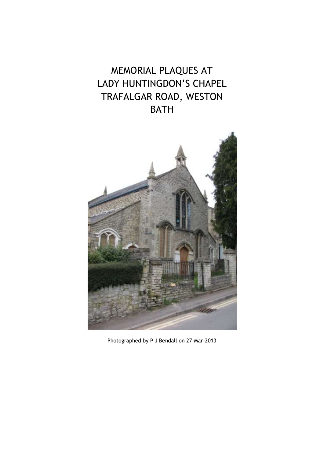## MEMORIAL PLAQUES AT LADY HUNTINGDON'S CHAPEL TRAFALGAR ROAD, WESTON BATH



Photographed by P J Bendall on 27-Mar-2013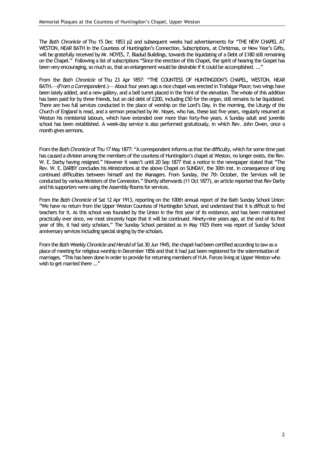The *Bath Chronicle* of Thu 15 Dec 1853 p2 and subsequent weeks had advertisements for "THE NEW CHAPEL AT WESTON, NEAR BATH In the Countess of Huntingdon's Connection, Subscriptions, at Christmas, or New Year's Gifts, will be gratefully received by Mr. NOYES, 7, Bladud Buildings, towards the liquidating of a Debt of £180 still remaining on the Chapel." Following a list of subscriptions "Since the erection of this Chapel, the spirit of hearing the Gospel has been very encouraging, so much so, that an enlargement would be desirable if it could be accomplished. ..."

From the *Bath Chronicle* of Thu 23 Apr 1857: "THE COUNTESS OF HUNTINGDON'S CHAPEL, WESTON, NEAR BATH.**--- (From a Correspondent.) --- About four years ago a nice chapel was erected in Trafalgar Place; two wings have** been lately added, and a new gallery, and a bell turret placed in the front of the elevation. The whole of this addition has been paid for by three friends, but an old debt of £200, including £50 for the organ, still remains to be liquidated. There are two full services conducted in the place of worship on the Lord's Day. In the morning, the Liturgy of the Church of England is read, and a sermon preached by Mr. Noyes, who has, these last five years, regularly resumed at Weston his ministerial labours, which have extended over more than forty-five years. A Sunday adult and juvenile school has been established. A week-day service is also performed gratuitously, in which Rev. John Owen, once a month gives sermons.

From the *Bath Chronicle* of Thu 17 May 1877: "A correspondent informs us that the difficulty, which for some time past has caused a division among the members of the countess of Huntingdon's chapel at Weston, no longer exists, the Rev. W. E. Darby having resigned." However it wasn't until 20 Sep 1877 that a notice in the newspaper stated that "The Rev. W. E. DARBY concludes his Ministrations at the above Chapel on SUNDAY, the 30th inst. in consequence of long continued difficulties between himself and the Managers. From Sunday, the 7th October, the Services will be conducted by various Ministers of the Connexion." Shortly afterwards (11 Oct 1877), an article reported that Rev Darby and his supporters were using the Assembly Rooms for services.

From the *Bath Chronicle* of Sat 12 Apr 1913, reporting on the 100th annual report of the Bath Sunday School Union: "We have no return from the Upper Weston Countess of Huntingdon School, and understand that it is difficult to find teachers for it. As this school was founded by the Union in the first year of its existence, and has been maintained practically ever since, we most sincerely hope that it will be continued. Ninety-nine years ago, at the end of its first year of life, it had sixty scholars." The Sunday School persisted as in May 1925 there was report of Sunday School anniversary services including special singing by the scholars.

From the *Bath Weekly Chronicle and Herald* of Sat 30 Jun 1945, the chapel had been certified according to law as a place of meeting for religious worship in December 1856 and that it had just been registered for the solemnisation of marriages. "This has been done in order to provide for returning members of H.M. Forces living at Upper Weston who wish to get married there ..."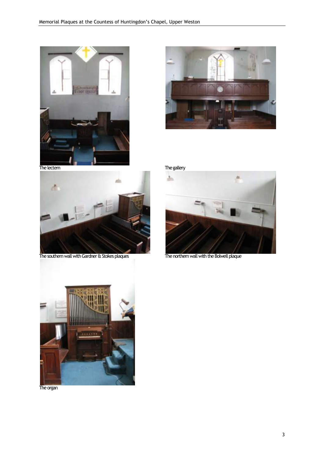







The southern wall with Gardner & Stokes plaques The northern wall with the Bolwell plaque





The organ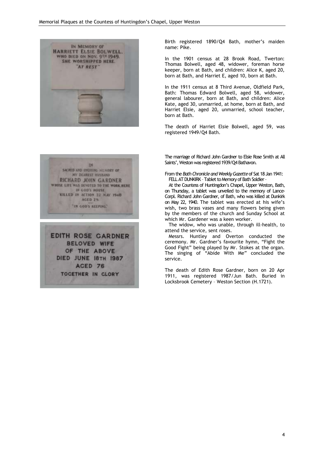

194 SACRED AND UNDYING MEMORY OF MY DEAREST HUSBAND RICHARD JOHN GARDNER WHOSE LIFE WAS DEVOTED TO THE WORK HERE IN COD'S HOUSE KILLED IN ACTION 22 MAY 1940 ACED 29 "IN GOD'S REEPING."

**EDITH ROSE GARDNER BELOVED WIFE** OF THE ABOVE DIED JUNE 18TH 1987 ACED 76 TOCETHER IN CLORY

Birth registered 1890/Q4 Bath, mother's maiden name: Pike.

In the 1901 census at 28 Brook Road, Twerton: Thomas Bolwell, aged 48, widower, foreman horse keeper, born at Bath, and children: Alice K, aged 20, born at Bath, and Harriet E, aged 10, born at Bath.

In the 1911 census at 8 Third Avenue, Oldfield Park, Bath: Thomas Edward Bolwell, aged 58, widower, general labourer, born at Bath, and children: Alice Kate, aged 30, unmarried, at home, born at Bath, and Harriet Elsie, aged 20, unmarried, school teacher, born at Bath.

The death of Harriet Elsie Bolwell, aged 59, was registered 1949/Q4 Bath.

The marriage of Richard John Gardner to Elsie Rose Smith at All Saints', Weston was registered 1939/Q4 Bathavon.

From the *BathChronicleandWeeklyGazette*of Sat 18Jan1941: FELL AT DUNKIRK - Tablet to Memory of Bath Soldier -

At the Countess of Huntingdon's Chapel, Upper Weston, Bath, on Thursday, a tablet was unveiled to the memory of Lance-Corpl. Richard John Gardner, of Bath, who was killed at Dunkirk on May 22, 1940. The tablet was erected at his wife's wish, two brass vases and many flowers being given by the members of the church and Sunday School at which Mr. Gardener was a keen worker.

The widow, who was unable, through ill-health, to attend the service, sent roses.

Messrs. Huntley and Overton conducted the ceremony. Mr. Gardner's favourite hymn, "Fight the Good Fight" being played by Mr. Stokes at the organ. The singing of "Abide With Me" concluded the service.

The death of Edith Rose Gardner, born on 20 Apr 1911, was registered 1987/Jun Bath. Buried in Locksbrook Cemetery – Weston Section (H.1721).